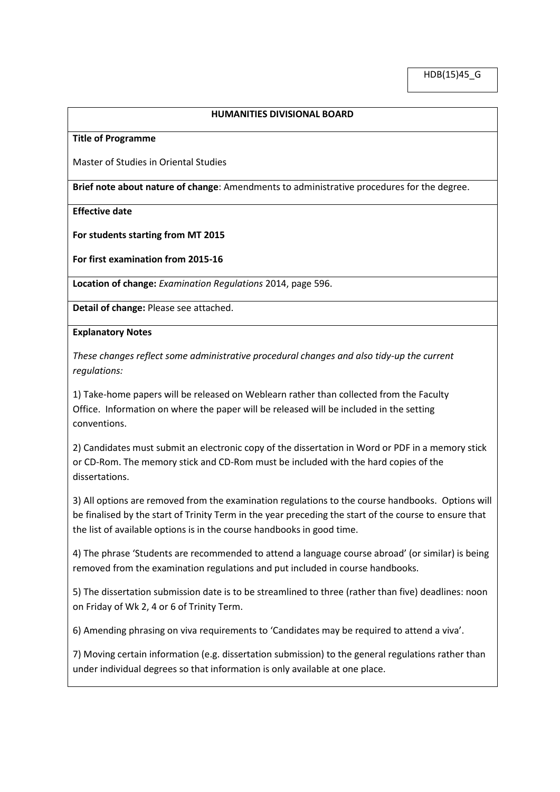## **HUMANITIES DIVISIONAL BOARD**

**Title of Programme**

Master of Studies in Oriental Studies

**Brief note about nature of change**: Amendments to administrative procedures for the degree.

**Effective date**

**For students starting from MT 2015**

**For first examination from 2015-16** 

**Location of change:** *Examination Regulations* 2014, page 596.

**Detail of change:** Please see attached.

**Explanatory Notes**

*These changes reflect some administrative procedural changes and also tidy-up the current regulations:*

1) Take-home papers will be released on Weblearn rather than collected from the Faculty Office. Information on where the paper will be released will be included in the setting conventions.

2) Candidates must submit an electronic copy of the dissertation in Word or PDF in a memory stick or CD-Rom. The memory stick and CD-Rom must be included with the hard copies of the dissertations.

3) All options are removed from the examination regulations to the course handbooks. Options will be finalised by the start of Trinity Term in the year preceding the start of the course to ensure that the list of available options is in the course handbooks in good time.

4) The phrase 'Students are recommended to attend a language course abroad' (or similar) is being removed from the examination regulations and put included in course handbooks.

5) The dissertation submission date is to be streamlined to three (rather than five) deadlines: noon on Friday of Wk 2, 4 or 6 of Trinity Term.

6) Amending phrasing on viva requirements to 'Candidates may be required to attend a viva'.

7) Moving certain information (e.g. dissertation submission) to the general regulations rather than under individual degrees so that information is only available at one place.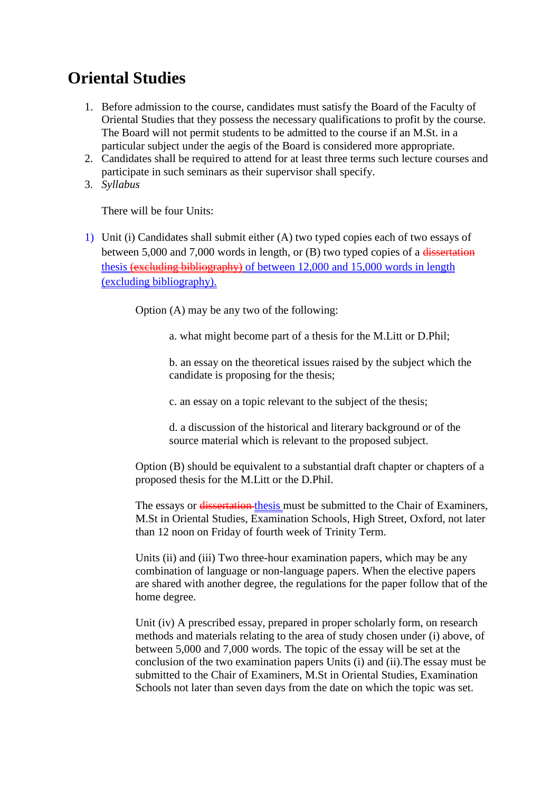## **Oriental Studies**

- 1. Before admission to the course, candidates must satisfy the Board of the Faculty of Oriental Studies that they possess the necessary qualifications to profit by the course. The Board will not permit students to be admitted to the course if an M.St. in a particular subject under the aegis of the Board is considered more appropriate.
- 2. Candidates shall be required to attend for at least three terms such lecture courses and participate in such seminars as their supervisor shall specify.
- 3. *Syllabus*

There will be four Units:

1) Unit (i) Candidates shall submit either (A) two typed copies each of two essays of between 5,000 and 7,000 words in length, or (B) two typed copies of a dissertation thesis (excluding bibliography) of between 12,000 and 15,000 words in length (excluding bibliography).

Option (A) may be any two of the following:

a. what might become part of a thesis for the M.Litt or D.Phil;

b. an essay on the theoretical issues raised by the subject which the candidate is proposing for the thesis;

c. an essay on a topic relevant to the subject of the thesis;

d. a discussion of the historical and literary background or of the source material which is relevant to the proposed subject.

Option (B) should be equivalent to a substantial draft chapter or chapters of a proposed thesis for the M.Litt or the D.Phil.

The essays or dissertation-thesis must be submitted to the Chair of Examiners, M.St in Oriental Studies, Examination Schools, High Street, Oxford, not later than 12 noon on Friday of fourth week of Trinity Term.

Units (ii) and (iii) Two three-hour examination papers, which may be any combination of language or non-language papers. When the elective papers are shared with another degree, the regulations for the paper follow that of the home degree.

Unit (iv) A prescribed essay, prepared in proper scholarly form, on research methods and materials relating to the area of study chosen under (i) above, of between 5,000 and 7,000 words. The topic of the essay will be set at the conclusion of the two examination papers Units (i) and (ii).The essay must be submitted to the Chair of Examiners, M.St in Oriental Studies, Examination Schools not later than seven days from the date on which the topic was set.